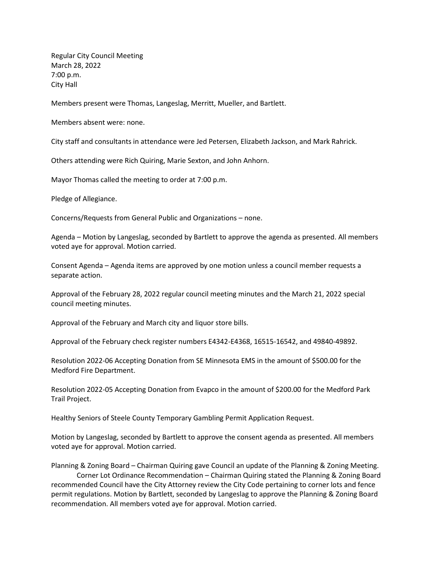Regular City Council Meeting March 28, 2022 7:00 p.m. City Hall

Members present were Thomas, Langeslag, Merritt, Mueller, and Bartlett.

Members absent were: none.

City staff and consultants in attendance were Jed Petersen, Elizabeth Jackson, and Mark Rahrick.

Others attending were Rich Quiring, Marie Sexton, and John Anhorn.

Mayor Thomas called the meeting to order at 7:00 p.m.

Pledge of Allegiance.

Concerns/Requests from General Public and Organizations – none.

Agenda – Motion by Langeslag, seconded by Bartlett to approve the agenda as presented. All members voted aye for approval. Motion carried.

Consent Agenda – Agenda items are approved by one motion unless a council member requests a separate action.

Approval of the February 28, 2022 regular council meeting minutes and the March 21, 2022 special council meeting minutes.

Approval of the February and March city and liquor store bills.

Approval of the February check register numbers E4342-E4368, 16515-16542, and 49840-49892.

Resolution 2022-06 Accepting Donation from SE Minnesota EMS in the amount of \$500.00 for the Medford Fire Department.

Resolution 2022-05 Accepting Donation from Evapco in the amount of \$200.00 for the Medford Park Trail Project.

Healthy Seniors of Steele County Temporary Gambling Permit Application Request.

Motion by Langeslag, seconded by Bartlett to approve the consent agenda as presented. All members voted aye for approval. Motion carried.

Planning & Zoning Board – Chairman Quiring gave Council an update of the Planning & Zoning Meeting. Corner Lot Ordinance Recommendation – Chairman Quiring stated the Planning & Zoning Board recommended Council have the City Attorney review the City Code pertaining to corner lots and fence permit regulations. Motion by Bartlett, seconded by Langeslag to approve the Planning & Zoning Board recommendation. All members voted aye for approval. Motion carried.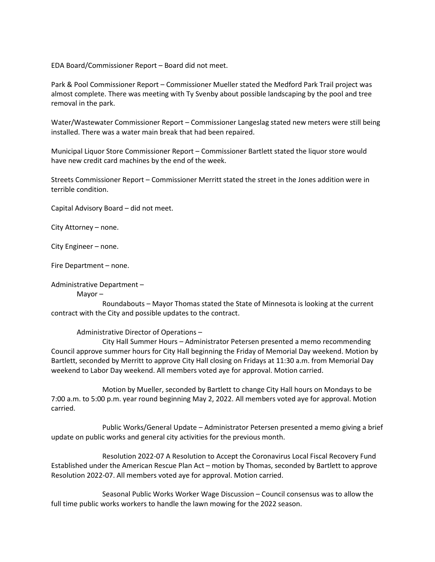EDA Board/Commissioner Report – Board did not meet.

Park & Pool Commissioner Report – Commissioner Mueller stated the Medford Park Trail project was almost complete. There was meeting with Ty Svenby about possible landscaping by the pool and tree removal in the park.

Water/Wastewater Commissioner Report – Commissioner Langeslag stated new meters were still being installed. There was a water main break that had been repaired.

Municipal Liquor Store Commissioner Report – Commissioner Bartlett stated the liquor store would have new credit card machines by the end of the week.

Streets Commissioner Report – Commissioner Merritt stated the street in the Jones addition were in terrible condition.

Capital Advisory Board – did not meet.

City Attorney – none.

City Engineer – none.

Fire Department – none.

Administrative Department –

Mayor –

Roundabouts – Mayor Thomas stated the State of Minnesota is looking at the current contract with the City and possible updates to the contract.

Administrative Director of Operations –

City Hall Summer Hours – Administrator Petersen presented a memo recommending Council approve summer hours for City Hall beginning the Friday of Memorial Day weekend. Motion by Bartlett, seconded by Merritt to approve City Hall closing on Fridays at 11:30 a.m. from Memorial Day weekend to Labor Day weekend. All members voted aye for approval. Motion carried.

Motion by Mueller, seconded by Bartlett to change City Hall hours on Mondays to be 7:00 a.m. to 5:00 p.m. year round beginning May 2, 2022. All members voted aye for approval. Motion carried.

Public Works/General Update – Administrator Petersen presented a memo giving a brief update on public works and general city activities for the previous month.

Resolution 2022-07 A Resolution to Accept the Coronavirus Local Fiscal Recovery Fund Established under the American Rescue Plan Act – motion by Thomas, seconded by Bartlett to approve Resolution 2022-07. All members voted aye for approval. Motion carried.

Seasonal Public Works Worker Wage Discussion – Council consensus was to allow the full time public works workers to handle the lawn mowing for the 2022 season.